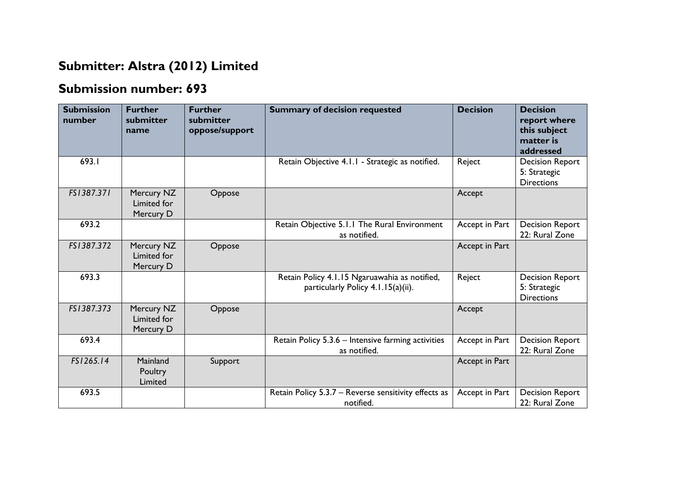## **Submitter: Alstra (2012) Limited**

## **Submission number: 693**

| <b>Submission</b><br>number | <b>Further</b><br>submitter<br>name    | <b>Further</b><br>submitter<br>oppose/support | <b>Summary of decision requested</b>                                                | <b>Decision</b> | <b>Decision</b><br>report where<br>this subject<br>matter is<br>addressed |
|-----------------------------|----------------------------------------|-----------------------------------------------|-------------------------------------------------------------------------------------|-----------------|---------------------------------------------------------------------------|
| 693.I                       |                                        |                                               | Retain Objective 4.1.1 - Strategic as notified.                                     | Reject          | <b>Decision Report</b><br>5: Strategic<br><b>Directions</b>               |
| FS1387.371                  | Mercury NZ<br>Limited for<br>Mercury D | Oppose                                        |                                                                                     | Accept          |                                                                           |
| 693.2                       |                                        |                                               | Retain Objective 5.1.1 The Rural Environment<br>as notified.                        | Accept in Part  | <b>Decision Report</b><br>22: Rural Zone                                  |
| FS1387.372                  | Mercury NZ<br>Limited for<br>Mercury D | Oppose                                        |                                                                                     | Accept in Part  |                                                                           |
| 693.3                       |                                        |                                               | Retain Policy 4.1.15 Ngaruawahia as notified,<br>particularly Policy 4.1.15(a)(ii). | Reject          | <b>Decision Report</b><br>5: Strategic<br><b>Directions</b>               |
| FS1387.373                  | Mercury NZ<br>Limited for<br>Mercury D | Oppose                                        |                                                                                     | Accept          |                                                                           |
| 693.4                       |                                        |                                               | Retain Policy 5.3.6 - Intensive farming activities<br>as notified.                  | Accept in Part  | <b>Decision Report</b><br>22: Rural Zone                                  |
| FS1265.14                   | Mainland<br>Poultry<br>Limited         | Support                                       |                                                                                     | Accept in Part  |                                                                           |
| 693.5                       |                                        |                                               | Retain Policy 5.3.7 - Reverse sensitivity effects as<br>notified.                   | Accept in Part  | <b>Decision Report</b><br>22: Rural Zone                                  |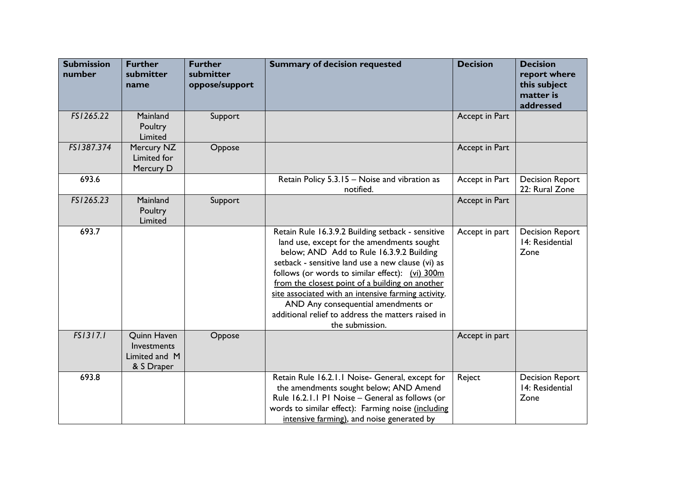| <b>Submission</b><br>number | <b>Further</b><br>submitter<br>name                       | <b>Further</b><br>submitter<br>oppose/support | <b>Summary of decision requested</b>                                                                                                                                                                                                                                                                                                                                                                                                                                          | <b>Decision</b> | <b>Decision</b><br>report where<br>this subject<br>matter is<br>addressed |
|-----------------------------|-----------------------------------------------------------|-----------------------------------------------|-------------------------------------------------------------------------------------------------------------------------------------------------------------------------------------------------------------------------------------------------------------------------------------------------------------------------------------------------------------------------------------------------------------------------------------------------------------------------------|-----------------|---------------------------------------------------------------------------|
| FS1265.22                   | Mainland<br>Poultry<br>Limited                            | Support                                       |                                                                                                                                                                                                                                                                                                                                                                                                                                                                               | Accept in Part  |                                                                           |
| FS1387.374                  | Mercury NZ<br>Limited for<br>Mercury D                    | Oppose                                        |                                                                                                                                                                                                                                                                                                                                                                                                                                                                               | Accept in Part  |                                                                           |
| 693.6                       |                                                           |                                               | Retain Policy 5.3.15 - Noise and vibration as<br>notified.                                                                                                                                                                                                                                                                                                                                                                                                                    | Accept in Part  | <b>Decision Report</b><br>22: Rural Zone                                  |
| FS1265.23                   | Mainland<br>Poultry<br>Limited                            | Support                                       |                                                                                                                                                                                                                                                                                                                                                                                                                                                                               | Accept in Part  |                                                                           |
| 693.7                       |                                                           |                                               | Retain Rule 16.3.9.2 Building setback - sensitive<br>land use, except for the amendments sought<br>below; AND Add to Rule 16.3.9.2 Building<br>setback - sensitive land use a new clause (vi) as<br>follows (or words to similar effect): (vi) 300m<br>from the closest point of a building on another<br>site associated with an intensive farming activity.<br>AND Any consequential amendments or<br>additional relief to address the matters raised in<br>the submission. | Accept in part  | <b>Decision Report</b><br>14: Residential<br>Zone                         |
| FS1317.1                    | Quinn Haven<br>Investments<br>Limited and M<br>& S Draper | Oppose                                        |                                                                                                                                                                                                                                                                                                                                                                                                                                                                               | Accept in part  |                                                                           |
| 693.8                       |                                                           |                                               | Retain Rule 16.2.1.1 Noise- General, except for<br>the amendments sought below; AND Amend<br>Rule 16.2.1.1 P1 Noise - General as follows (or<br>words to similar effect): Farming noise (including<br>intensive farming), and noise generated by                                                                                                                                                                                                                              | Reject          | <b>Decision Report</b><br>14: Residential<br>Zone                         |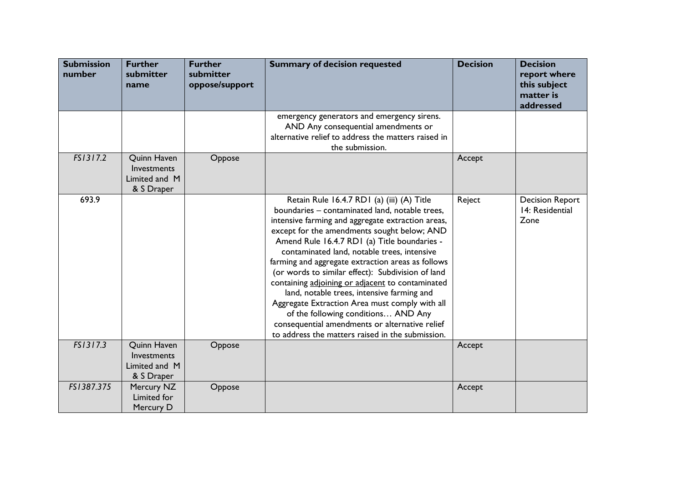| <b>Submission</b><br>number | <b>Further</b><br>submitter<br>name                              | <b>Further</b><br>submitter<br>oppose/support | <b>Summary of decision requested</b>                                                                                                                                                                                                                                                                                                                                                                                                                                                                                                                                                                                                                                                                       | <b>Decision</b> | <b>Decision</b><br>report where<br>this subject<br>matter is<br>addressed |
|-----------------------------|------------------------------------------------------------------|-----------------------------------------------|------------------------------------------------------------------------------------------------------------------------------------------------------------------------------------------------------------------------------------------------------------------------------------------------------------------------------------------------------------------------------------------------------------------------------------------------------------------------------------------------------------------------------------------------------------------------------------------------------------------------------------------------------------------------------------------------------------|-----------------|---------------------------------------------------------------------------|
|                             |                                                                  |                                               | emergency generators and emergency sirens.<br>AND Any consequential amendments or<br>alternative relief to address the matters raised in<br>the submission.                                                                                                                                                                                                                                                                                                                                                                                                                                                                                                                                                |                 |                                                                           |
| FS1317.2                    | Quinn Haven<br>Investments<br>Limited and M<br>& S Draper        | Oppose                                        |                                                                                                                                                                                                                                                                                                                                                                                                                                                                                                                                                                                                                                                                                                            | Accept          |                                                                           |
| 693.9                       |                                                                  |                                               | Retain Rule 16.4.7 RD1 (a) (iii) (A) Title<br>boundaries - contaminated land, notable trees,<br>intensive farming and aggregate extraction areas,<br>except for the amendments sought below; AND<br>Amend Rule 16.4.7 RD1 (a) Title boundaries -<br>contaminated land, notable trees, intensive<br>farming and aggregate extraction areas as follows<br>(or words to similar effect): Subdivision of land<br>containing adjoining or adjacent to contaminated<br>land, notable trees, intensive farming and<br>Aggregate Extraction Area must comply with all<br>of the following conditions AND Any<br>consequential amendments or alternative relief<br>to address the matters raised in the submission. | Reject          | <b>Decision Report</b><br>14: Residential<br>Zone                         |
| FS1317.3                    | <b>Quinn Haven</b><br>Investments<br>Limited and M<br>& S Draper | Oppose                                        |                                                                                                                                                                                                                                                                                                                                                                                                                                                                                                                                                                                                                                                                                                            | Accept          |                                                                           |
| FS1387.375                  | Mercury NZ<br>Limited for<br>Mercury D                           | Oppose                                        |                                                                                                                                                                                                                                                                                                                                                                                                                                                                                                                                                                                                                                                                                                            | Accept          |                                                                           |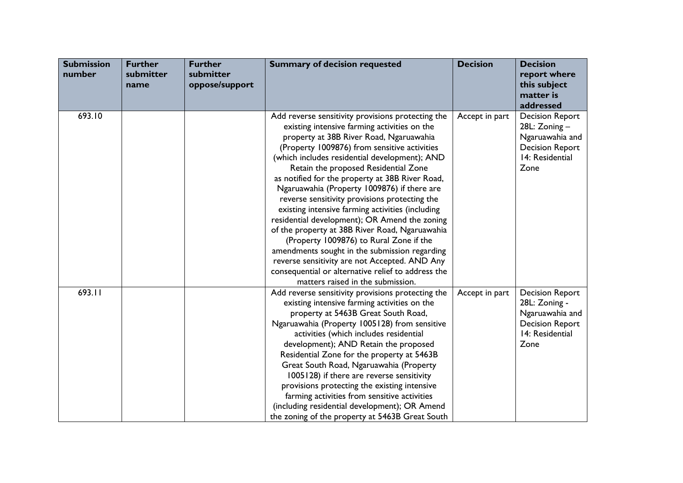| <b>Submission</b><br>number | <b>Further</b><br>submitter<br>name | <b>Further</b><br>submitter<br>oppose/support | <b>Summary of decision requested</b>                                                                                                                                                                                                                                                                                                                                                                                                                                                                                                                                                                                                                                                                                                                                                                                                    | <b>Decision</b> | <b>Decision</b><br>report where<br>this subject<br>matter is<br>addressed                                       |
|-----------------------------|-------------------------------------|-----------------------------------------------|-----------------------------------------------------------------------------------------------------------------------------------------------------------------------------------------------------------------------------------------------------------------------------------------------------------------------------------------------------------------------------------------------------------------------------------------------------------------------------------------------------------------------------------------------------------------------------------------------------------------------------------------------------------------------------------------------------------------------------------------------------------------------------------------------------------------------------------------|-----------------|-----------------------------------------------------------------------------------------------------------------|
| 693.10                      |                                     |                                               | Add reverse sensitivity provisions protecting the<br>existing intensive farming activities on the<br>property at 38B River Road, Ngaruawahia<br>(Property 1009876) from sensitive activities<br>(which includes residential development); AND<br>Retain the proposed Residential Zone<br>as notified for the property at 38B River Road,<br>Ngaruawahia (Property 1009876) if there are<br>reverse sensitivity provisions protecting the<br>existing intensive farming activities (including<br>residential development); OR Amend the zoning<br>of the property at 38B River Road, Ngaruawahia<br>(Property 1009876) to Rural Zone if the<br>amendments sought in the submission regarding<br>reverse sensitivity are not Accepted. AND Any<br>consequential or alternative relief to address the<br>matters raised in the submission. | Accept in part  | <b>Decision Report</b><br>28L: Zoning -<br>Ngaruawahia and<br><b>Decision Report</b><br>14: Residential<br>Zone |
| 693.11                      |                                     |                                               | Add reverse sensitivity provisions protecting the<br>existing intensive farming activities on the<br>property at 5463B Great South Road,<br>Ngaruawahia (Property 1005128) from sensitive<br>activities (which includes residential<br>development); AND Retain the proposed<br>Residential Zone for the property at 5463B<br>Great South Road, Ngaruawahia (Property<br>1005128) if there are reverse sensitivity<br>provisions protecting the existing intensive<br>farming activities from sensitive activities<br>(including residential development); OR Amend<br>the zoning of the property at 5463B Great South                                                                                                                                                                                                                  | Accept in part  | <b>Decision Report</b><br>28L: Zoning -<br>Ngaruawahia and<br><b>Decision Report</b><br>14: Residential<br>Zone |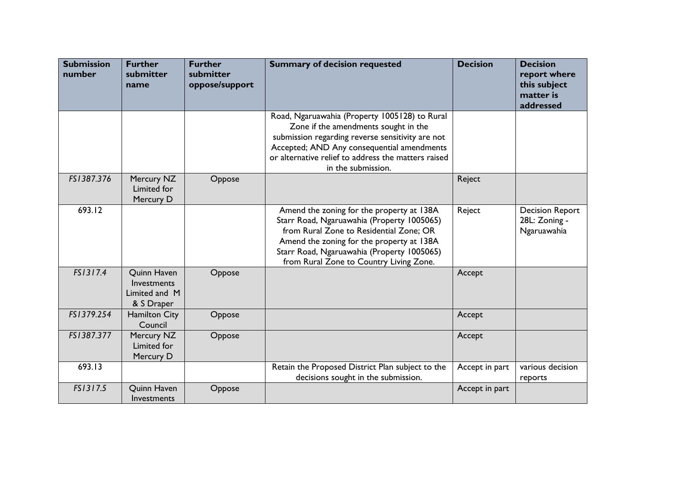| <b>Submission</b><br>number | <b>Further</b><br>submitter<br>name                              | <b>Further</b><br>submitter<br>oppose/support | <b>Summary of decision requested</b>                                                                                                                                                                                                                                     | <b>Decision</b> | <b>Decision</b><br>report where<br>this subject<br>matter is<br>addressed |
|-----------------------------|------------------------------------------------------------------|-----------------------------------------------|--------------------------------------------------------------------------------------------------------------------------------------------------------------------------------------------------------------------------------------------------------------------------|-----------------|---------------------------------------------------------------------------|
|                             |                                                                  |                                               | Road, Ngaruawahia (Property 1005128) to Rural<br>Zone if the amendments sought in the<br>submission regarding reverse sensitivity are not<br>Accepted; AND Any consequential amendments<br>or alternative relief to address the matters raised<br>in the submission.     |                 |                                                                           |
| FS1387.376                  | Mercury NZ<br>Limited for<br>Mercury D                           | Oppose                                        |                                                                                                                                                                                                                                                                          | Reject          |                                                                           |
| 693.12                      |                                                                  |                                               | Amend the zoning for the property at 138A<br>Starr Road, Ngaruawahia (Property 1005065)<br>from Rural Zone to Residential Zone; OR<br>Amend the zoning for the property at 138A<br>Starr Road, Ngaruawahia (Property 1005065)<br>from Rural Zone to Country Living Zone. | Reject          | <b>Decision Report</b><br>28L: Zoning -<br>Ngaruawahia                    |
| FS1317.4                    | <b>Quinn Haven</b><br>Investments<br>Limited and M<br>& S Draper | Oppose                                        |                                                                                                                                                                                                                                                                          | Accept          |                                                                           |
| FS1379.254                  | <b>Hamilton City</b><br>Council                                  | Oppose                                        |                                                                                                                                                                                                                                                                          | Accept          |                                                                           |
| FS1387.377                  | Mercury NZ<br>Limited for<br>Mercury D                           | Oppose                                        |                                                                                                                                                                                                                                                                          | Accept          |                                                                           |
| 693.13                      |                                                                  |                                               | Retain the Proposed District Plan subject to the<br>decisions sought in the submission.                                                                                                                                                                                  | Accept in part  | various decision<br>reports                                               |
| FS1317.5                    | Quinn Haven<br>Investments                                       | Oppose                                        |                                                                                                                                                                                                                                                                          | Accept in part  |                                                                           |